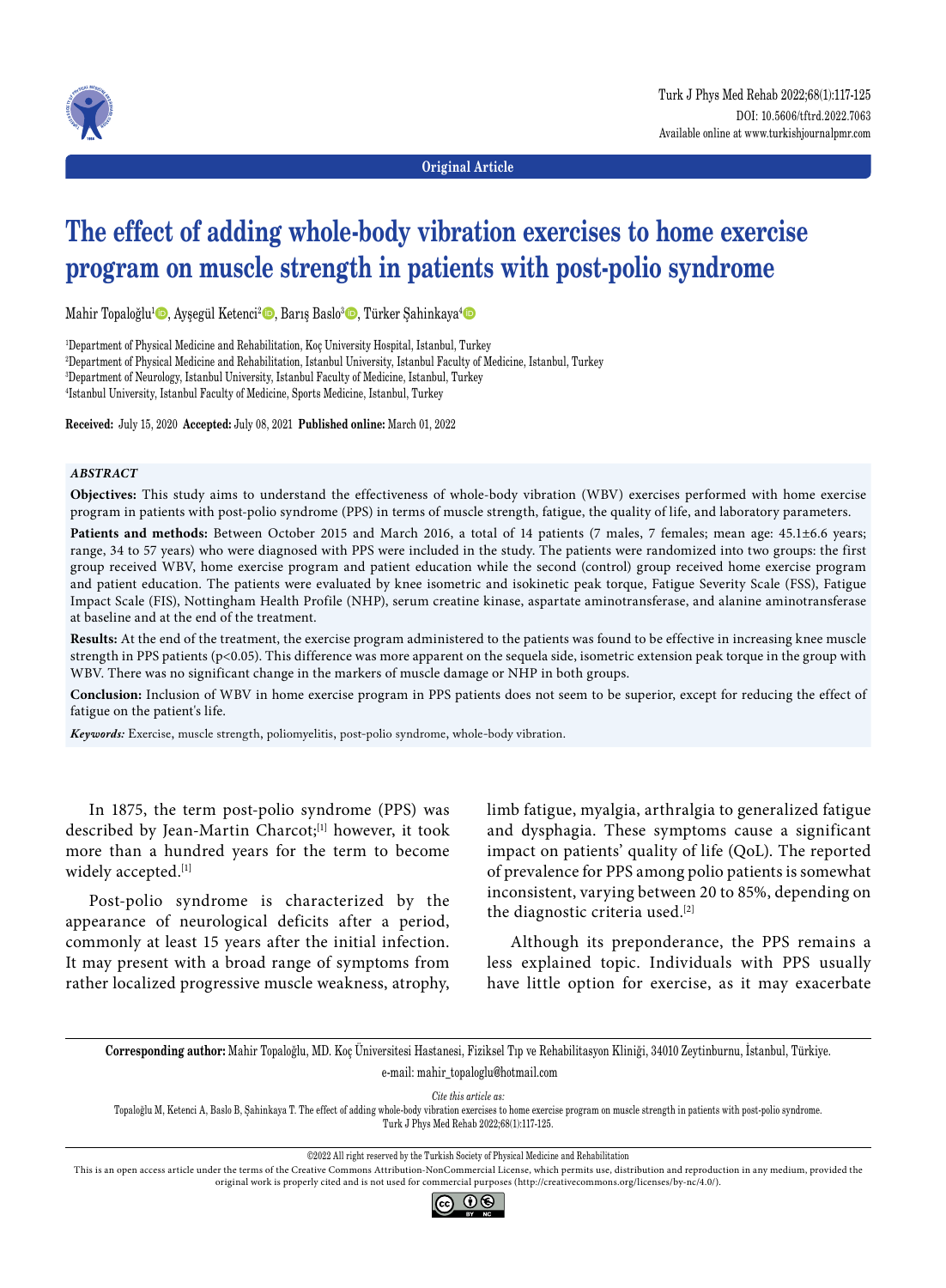

**Original Article**

# **The effect of adding whole-body vibration exercises to home exercise program on muscle strength in patients with post-polio syndrome**

Mahir Topaloğlu<sup>ı</sup> ©, Ayşegül Ketenci<sup>2</sup> ©, Barış Baslo<sup>3</sup> ©, Türker Şahinkaya<sup>4</sup> ©

 Department of Physical Medicine and Rehabilitation, Koç University Hospital, Istanbul, Turkey Department of Physical Medicine and Rehabilitation, Istanbul University, Istanbul Faculty of Medicine, Istanbul, Turkey Department of Neurology, Istanbul University, Istanbul Faculty of Medicine, Istanbul, Turkey Istanbul University, Istanbul Faculty of Medicine, Sports Medicine, Istanbul, Turkey

**Received:** July 15, 2020 **Accepted:** July 08, 2021 **Published online:** March 01, 2022

#### *ABSTRACT*

**Objectives:** This study aims to understand the effectiveness of whole-body vibration (WBV) exercises performed with home exercise program in patients with post-polio syndrome (PPS) in terms of muscle strength, fatigue, the quality of life, and laboratory parameters.

**Patients and methods:** Between October 2015 and March 2016, a total of 14 patients (7 males, 7 females; mean age: 45.1±6.6 years; range, 34 to 57 years) who were diagnosed with PPS were included in the study. The patients were randomized into two groups: the first group received WBV, home exercise program and patient education while the second (control) group received home exercise program and patient education. The patients were evaluated by knee isometric and isokinetic peak torque, Fatigue Severity Scale (FSS), Fatigue Impact Scale (FIS), Nottingham Health Profile (NHP), serum creatine kinase, aspartate aminotransferase, and alanine aminotransferase at baseline and at the end of the treatment.

**Results:** At the end of the treatment, the exercise program administered to the patients was found to be effective in increasing knee muscle strength in PPS patients (p<0.05). This difference was more apparent on the sequela side, isometric extension peak torque in the group with WBV. There was no significant change in the markers of muscle damage or NHP in both groups.

**Conclusion:** Inclusion of WBV in home exercise program in PPS patients does not seem to be superior, except for reducing the effect of fatigue on the patient's life.

*Keywords:* Exercise, muscle strength, poliomyelitis, post-polio syndrome, whole-body vibration.

In 1875, the term post-polio syndrome (PPS) was described by Jean-Martin Charcot;<sup>[1]</sup> however, it took more than a hundred years for the term to become widely accepted.[1]

Post-polio syndrome is characterized by the appearance of neurological deficits after a period, commonly at least 15 years after the initial infection. It may present with a broad range of symptoms from rather localized progressive muscle weakness, atrophy, limb fatigue, myalgia, arthralgia to generalized fatigue and dysphagia. These symptoms cause a significant impact on patients' quality of life (QoL). The reported of prevalence for PPS among polio patients is somewhat inconsistent, varying between 20 to 85%, depending on the diagnostic criteria used.<sup>[2]</sup>

Although its preponderance, the PPS remains a less explained topic. Individuals with PPS usually have little option for exercise, as it may exacerbate

**Corresponding author:** Mahir Topaloğlu, MD. Koç Üniversitesi Hastanesi, Fiziksel Tıp ve Rehabilitasyon Kliniği, 34010 Zeytinburnu, İstanbul, Türkiye.

e-mail: mahir\_topaloglu@hotmail.com

*Cite this article as:*

Topaloğlu M, Ketenci A, Baslo B, Şahinkaya T. The effect of adding whole-body vibration exercises to home exercise program on muscle strength in patients with post-polio syndrome. Turk J Phys Med Rehab 2022;68(1):117-125.

©2022 All right reserved by the Turkish Society of Physical Medicine and Rehabilitation

This is an open access article under the terms of the Creative Commons Attribution-NonCommercial License, which permits use, distribution and reproduction in any medium, provided the original work is properly cited and is not used for commercial purposes (http://creativecommons.org/licenses/by-nc/4.0/).

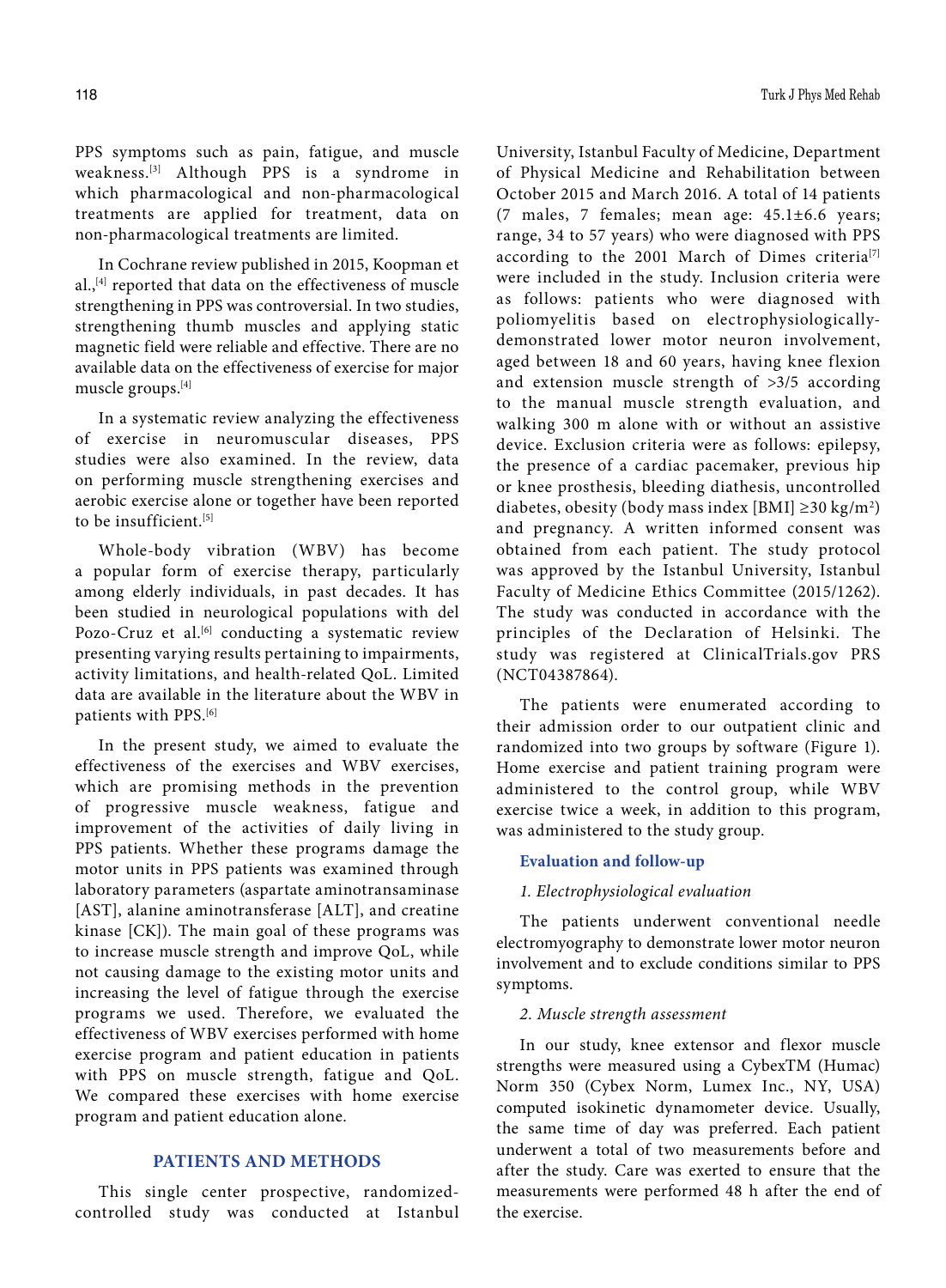PPS symptoms such as pain, fatigue, and muscle weakness.[3] Although PPS is a syndrome in which pharmacological and non-pharmacological treatments are applied for treatment, data on non-pharmacological treatments are limited.

In Cochrane review published in 2015, Koopman et al.,<sup>[4]</sup> reported that data on the effectiveness of muscle strengthening in PPS was controversial. In two studies, strengthening thumb muscles and applying static magnetic field were reliable and effective. There are no available data on the effectiveness of exercise for major muscle groups.[4]

In a systematic review analyzing the effectiveness of exercise in neuromuscular diseases, PPS studies were also examined. In the review, data on performing muscle strengthening exercises and aerobic exercise alone or together have been reported to be insufficient<sup>[5]</sup>

Whole-body vibration (WBV) has become a popular form of exercise therapy, particularly among elderly individuals, in past decades. It has been studied in neurological populations with del Pozo-Cruz et al.<sup>[6]</sup> conducting a systematic review presenting varying results pertaining to impairments, activity limitations, and health-related QoL. Limited data are available in the literature about the WBV in patients with PPS.<sup>[6]</sup>

In the present study, we aimed to evaluate the effectiveness of the exercises and WBV exercises, which are promising methods in the prevention of progressive muscle weakness, fatigue and improvement of the activities of daily living in PPS patients. Whether these programs damage the motor units in PPS patients was examined through laboratory parameters (aspartate aminotransaminase [AST], alanine aminotransferase [ALT], and creatine kinase [CK]). The main goal of these programs was to increase muscle strength and improve QoL, while not causing damage to the existing motor units and increasing the level of fatigue through the exercise programs we used. Therefore, we evaluated the effectiveness of WBV exercises performed with home exercise program and patient education in patients with PPS on muscle strength, fatigue and QoL. We compared these exercises with home exercise program and patient education alone.

## **PATIENTS AND METHODS**

This single center prospective, randomizedcontrolled study was conducted at Istanbul University, Istanbul Faculty of Medicine, Department of Physical Medicine and Rehabilitation between October 2015 and March 2016. A total of 14 patients (7 males, 7 females; mean age: 45.1±6.6 years; range, 34 to 57 years) who were diagnosed with PPS according to the 2001 March of Dimes criteria<sup>[7]</sup> were included in the study. Inclusion criteria were as follows: patients who were diagnosed with poliomyelitis based on electrophysiologicallydemonstrated lower motor neuron involvement, aged between 18 and 60 years, having knee flexion and extension muscle strength of >3/5 according to the manual muscle strength evaluation, and walking 300 m alone with or without an assistive device. Exclusion criteria were as follows: epilepsy, the presence of a cardiac pacemaker, previous hip or knee prosthesis, bleeding diathesis, uncontrolled diabetes, obesity (body mass index [BMI] ≥30 kg/m<sup>2</sup>) and pregnancy. A written informed consent was obtained from each patient. The study protocol was approved by the Istanbul University, Istanbul Faculty of Medicine Ethics Committee (2015/1262). The study was conducted in accordance with the principles of the Declaration of Helsinki. The study was registered at ClinicalTrials.gov PRS (NCT04387864).

The patients were enumerated according to their admission order to our outpatient clinic and randomized into two groups by software (Figure 1). Home exercise and patient training program were administered to the control group, while WBV exercise twice a week, in addition to this program, was administered to the study group.

## **Evaluation and follow-up**

## *1. Electrophysiological evaluation*

The patients underwent conventional needle electromyography to demonstrate lower motor neuron involvement and to exclude conditions similar to PPS symptoms.

## *2. Muscle strength assessment*

In our study, knee extensor and flexor muscle strengths were measured using a CybexTM (Humac) Norm 350 (Cybex Norm, Lumex Inc., NY, USA) computed isokinetic dynamometer device. Usually, the same time of day was preferred. Each patient underwent a total of two measurements before and after the study. Care was exerted to ensure that the measurements were performed 48 h after the end of the exercise.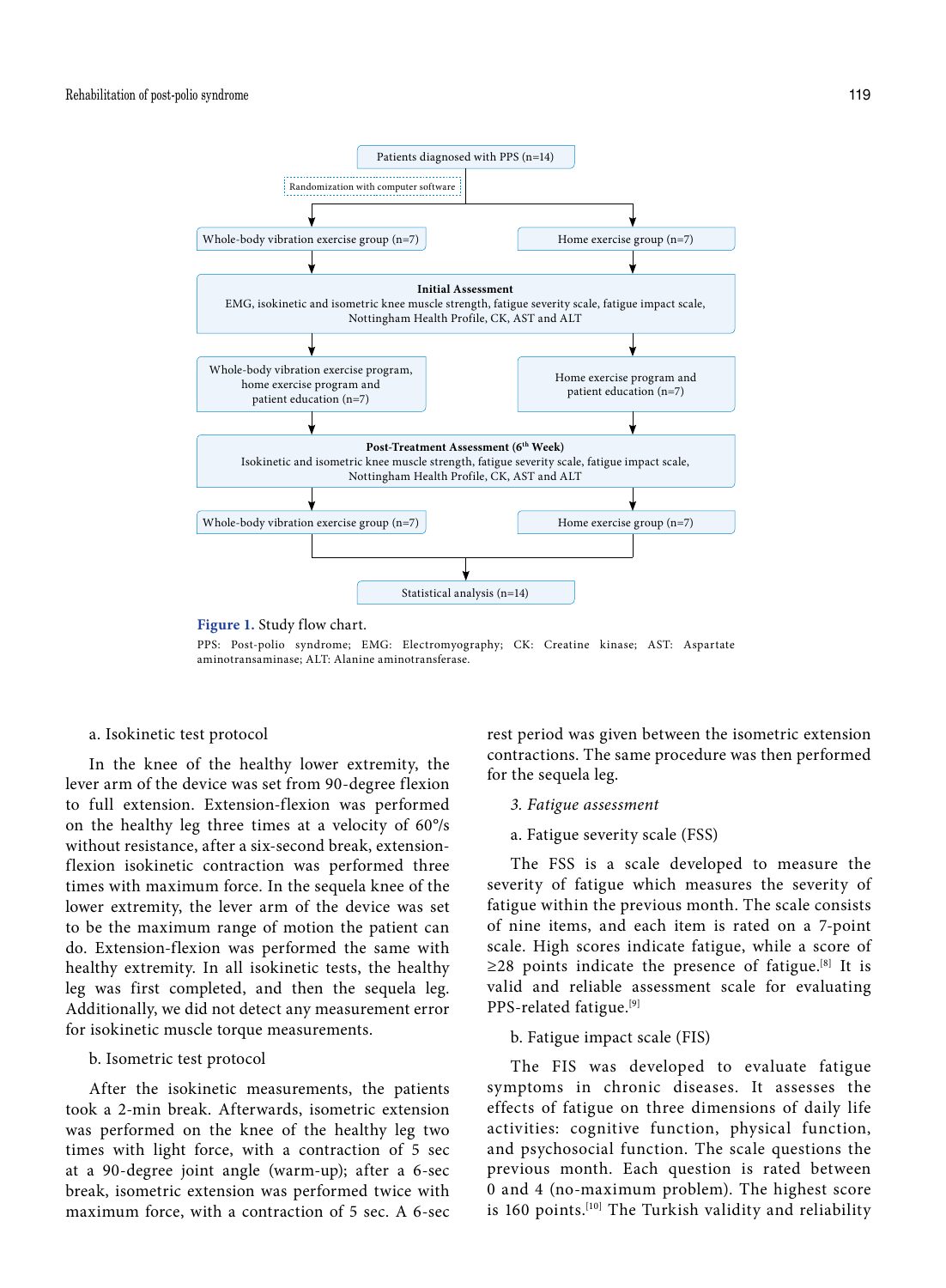

PPS: Post-polio syndrome; EMG: Electromyography; CK: Creatine kinase; AST: Aspartate aminotransaminase; ALT: Alanine aminotransferase.

## a. Isokinetic test protocol

In the knee of the healthy lower extremity, the lever arm of the device was set from 90-degree flexion to full extension. Extension-flexion was performed on the healthy leg three times at a velocity of 60°/s without resistance, after a six-second break, extensionflexion isokinetic contraction was performed three times with maximum force. In the sequela knee of the lower extremity, the lever arm of the device was set to be the maximum range of motion the patient can do. Extension-flexion was performed the same with healthy extremity. In all isokinetic tests, the healthy leg was first completed, and then the sequela leg. Additionally, we did not detect any measurement error for isokinetic muscle torque measurements.

#### b. Isometric test protocol

After the isokinetic measurements, the patients took a 2-min break. Afterwards, isometric extension was performed on the knee of the healthy leg two times with light force, with a contraction of 5 sec at a 90-degree joint angle (warm-up); after a 6-sec break, isometric extension was performed twice with maximum force, with a contraction of 5 sec. A 6-sec rest period was given between the isometric extension contractions. The same procedure was then performed for the sequela leg.

## *3. Fatigue assessment*

a. Fatigue severity scale (FSS)

The FSS is a scale developed to measure the severity of fatigue which measures the severity of fatigue within the previous month. The scale consists of nine items, and each item is rated on a 7-point scale. High scores indicate fatigue, while a score of  $\geq$ 28 points indicate the presence of fatigue.<sup>[8]</sup> It is valid and reliable assessment scale for evaluating PPS-related fatigue.[9]

b. Fatigue impact scale (FIS)

The FIS was developed to evaluate fatigue symptoms in chronic diseases. It assesses the effects of fatigue on three dimensions of daily life activities: cognitive function, physical function, and psychosocial function. The scale questions the previous month. Each question is rated between 0 and 4 (no-maximum problem). The highest score is 160 points.<sup>[10]</sup> The Turkish validity and reliability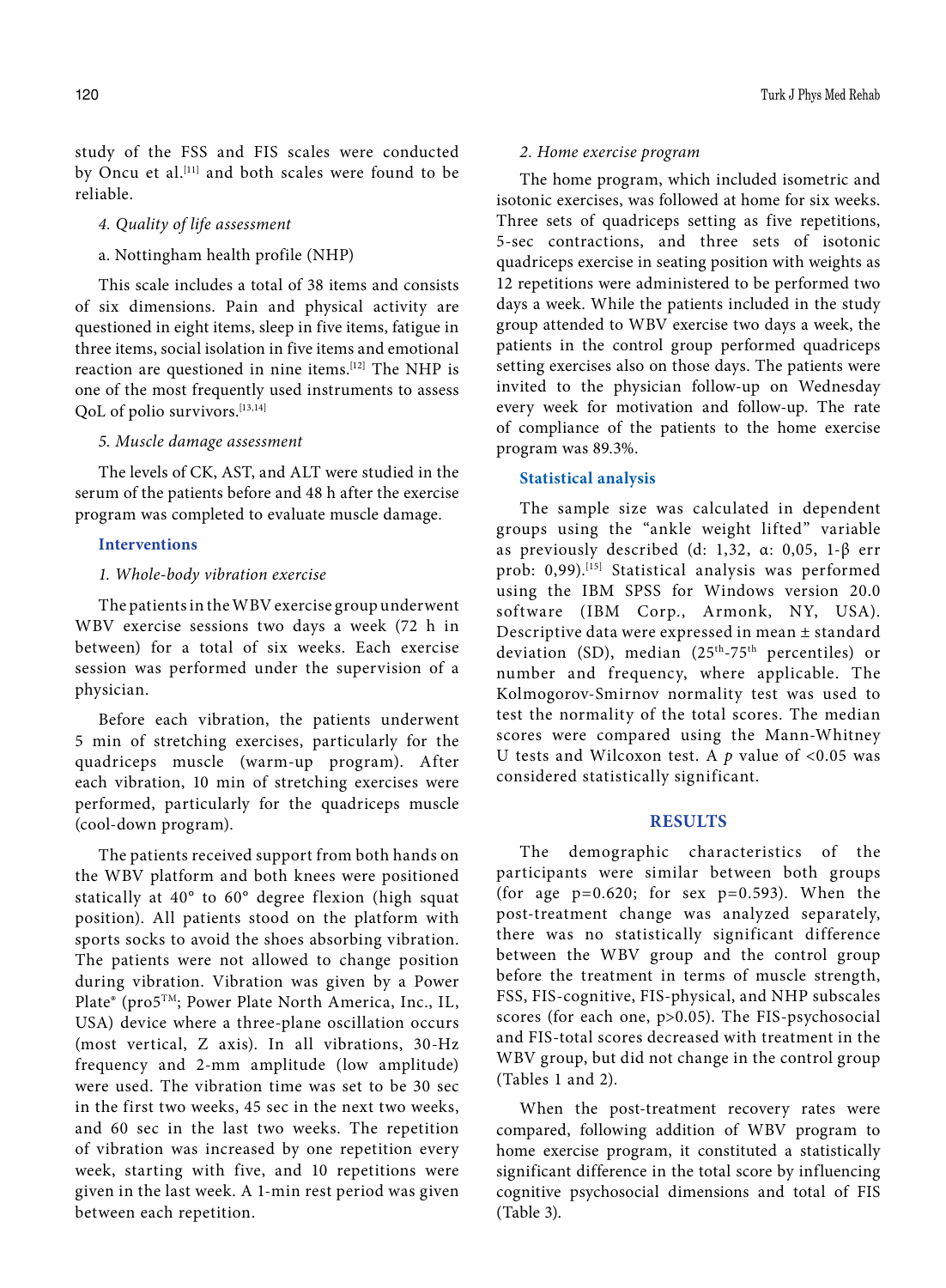study of the FSS and FIS scales were conducted by Oncu et al.<sup>[11]</sup> and both scales were found to be reliable.

*4. Quality of life assessment*

a. Nottingham health profile (NHP)

This scale includes a total of 38 items and consists of six dimensions. Pain and physical activity are questioned in eight items, sleep in five items, fatigue in three items, social isolation in five items and emotional reaction are questioned in nine items.[12] The NHP is one of the most frequently used instruments to assess QoL of polio survivors.[13,14]

## *5. Muscle damage assessment*

The levels of CK, AST, and ALT were studied in the serum of the patients before and 48 h after the exercise program was completed to evaluate muscle damage.

#### **Interventions**

## *1. Whole-body vibration exercise*

The patients in the WBV exercise group underwent WBV exercise sessions two days a week (72 h in between) for a total of six weeks. Each exercise session was performed under the supervision of a physician.

Before each vibration, the patients underwent 5 min of stretching exercises, particularly for the quadriceps muscle (warm-up program). After each vibration, 10 min of stretching exercises were performed, particularly for the quadriceps muscle (cool-down program).

The patients received support from both hands on the WBV platform and both knees were positioned statically at 40° to 60° degree flexion (high squat position). All patients stood on the platform with sports socks to avoid the shoes absorbing vibration. The patients were not allowed to change position during vibration. Vibration was given by a Power Plate® (pro5TM; Power Plate North America, Inc., IL, USA) device where a three-plane oscillation occurs (most vertical, Z axis). In all vibrations, 30-Hz frequency and 2-mm amplitude (low amplitude) were used. The vibration time was set to be 30 sec in the first two weeks, 45 sec in the next two weeks, and 60 sec in the last two weeks. The repetition of vibration was increased by one repetition every week, starting with five, and 10 repetitions were given in the last week. A 1-min rest period was given between each repetition.

## *2. Home exercise program*

The home program, which included isometric and isotonic exercises, was followed at home for six weeks. Three sets of quadriceps setting as five repetitions, 5-sec contractions, and three sets of isotonic quadriceps exercise in seating position with weights as 12 repetitions were administered to be performed two days a week. While the patients included in the study group attended to WBV exercise two days a week, the patients in the control group performed quadriceps setting exercises also on those days. The patients were invited to the physician follow-up on Wednesday every week for motivation and follow-up. The rate of compliance of the patients to the home exercise program was 89.3%.

## **Statistical analysis**

The sample size was calculated in dependent groups using the "ankle weight lifted" variable as previously described (d: 1,32, α: 0,05, 1-β err prob: 0,99).<sup>[15]</sup> Statistical analysis was performed using the IBM SPSS for Windows version 20.0 software (IBM Corp., Armonk, NY, USA). Descriptive data were expressed in mean ± standard deviation (SD), median (25<sup>th</sup>-75<sup>th</sup> percentiles) or number and frequency, where applicable. The Kolmogorov-Smirnov normality test was used to test the normality of the total scores. The median scores were compared using the Mann-Whitney U tests and Wilcoxon test. A *p* value of <0.05 was considered statistically significant.

## **RESULTS**

The demographic characteristics of the participants were similar between both groups (for age  $p=0.620$ ; for sex  $p=0.593$ ). When the post-treatment change was analyzed separately, there was no statistically significant difference between the WBV group and the control group before the treatment in terms of muscle strength, FSS, FIS-cognitive, FIS-physical, and NHP subscales scores (for each one, p>0.05). The FIS-psychosocial and FIS-total scores decreased with treatment in the WBV group, but did not change in the control group (Tables 1 and 2).

When the post-treatment recovery rates were compared, following addition of WBV program to home exercise program, it constituted a statistically significant difference in the total score by influencing cognitive psychosocial dimensions and total of FIS (Table 3).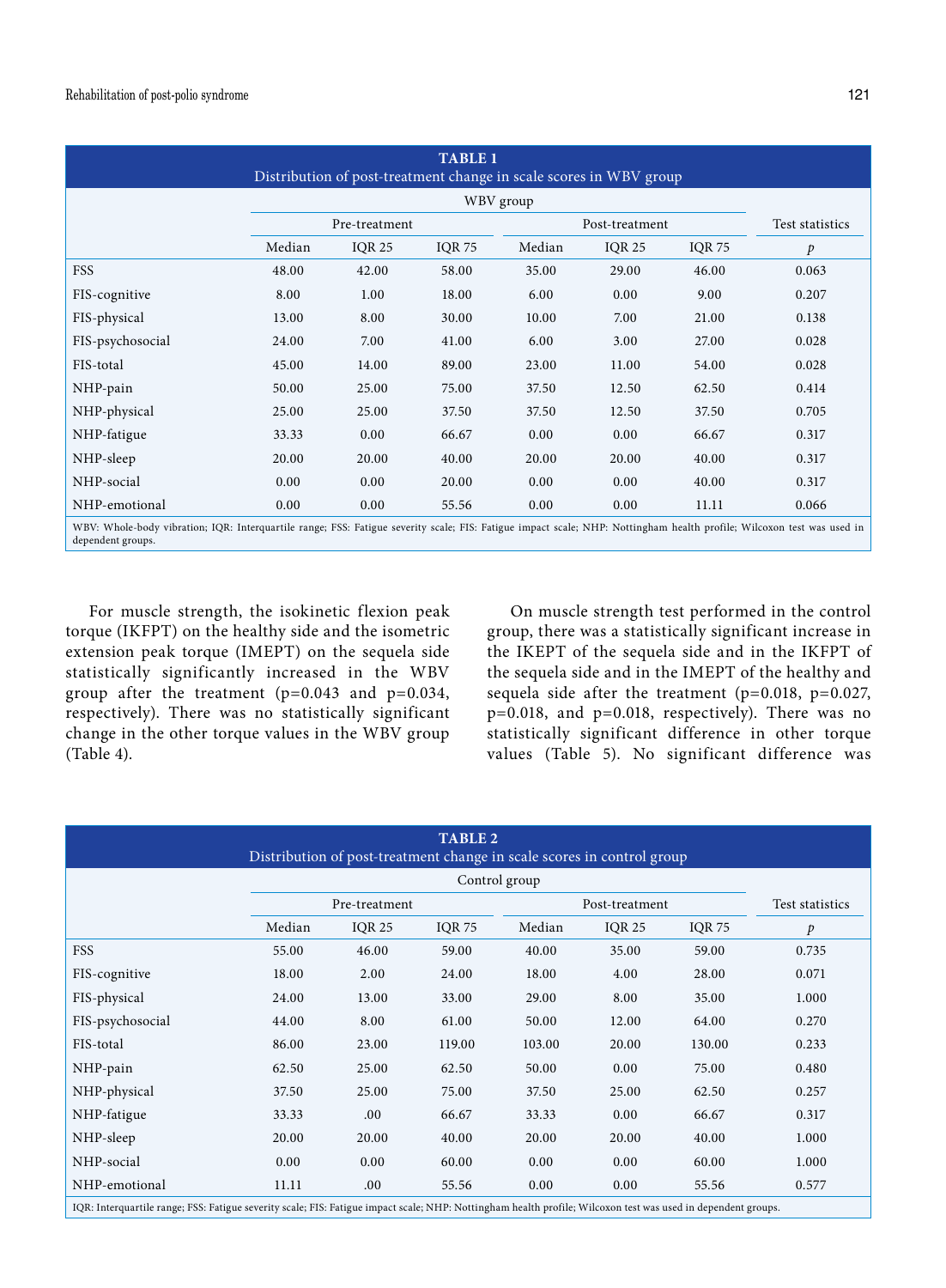| <b>TABLE 1</b><br>Distribution of post-treatment change in scale scores in WBV group                                                                                                        |        |               |               |                |               |               |                 |  |  |
|---------------------------------------------------------------------------------------------------------------------------------------------------------------------------------------------|--------|---------------|---------------|----------------|---------------|---------------|-----------------|--|--|
|                                                                                                                                                                                             |        | WBV group     |               |                |               |               |                 |  |  |
|                                                                                                                                                                                             |        | Pre-treatment |               | Post-treatment |               |               | Test statistics |  |  |
|                                                                                                                                                                                             | Median | <b>IQR 25</b> | <b>IQR 75</b> | Median         | <b>IQR 25</b> | <b>IQR 75</b> | $\mathcal{P}$   |  |  |
| <b>FSS</b>                                                                                                                                                                                  | 48.00  | 42.00         | 58.00         | 35.00          | 29.00         | 46.00         | 0.063           |  |  |
| FIS-cognitive                                                                                                                                                                               | 8.00   | 1.00          | 18.00         | 6.00           | 0.00          | 9.00          | 0.207           |  |  |
| FIS-physical                                                                                                                                                                                | 13.00  | 8.00          | 30.00         | 10.00          | 7.00          | 21.00         | 0.138           |  |  |
| FIS-psychosocial                                                                                                                                                                            | 24.00  | 7.00          | 41.00         | 6.00           | 3.00          | 27.00         | 0.028           |  |  |
| FIS-total                                                                                                                                                                                   | 45.00  | 14.00         | 89.00         | 23.00          | 11.00         | 54.00         | 0.028           |  |  |
| NHP-pain                                                                                                                                                                                    | 50.00  | 25.00         | 75.00         | 37.50          | 12.50         | 62.50         | 0.414           |  |  |
| NHP-physical                                                                                                                                                                                | 25.00  | 25.00         | 37.50         | 37.50          | 12.50         | 37.50         | 0.705           |  |  |
| NHP-fatigue                                                                                                                                                                                 | 33.33  | 0.00          | 66.67         | 0.00           | 0.00          | 66.67         | 0.317           |  |  |
| NHP-sleep                                                                                                                                                                                   | 20.00  | 20.00         | 40.00         | 20.00          | 20.00         | 40.00         | 0.317           |  |  |
| NHP-social                                                                                                                                                                                  | 0.00   | 0.00          | 20.00         | 0.00           | 0.00          | 40.00         | 0.317           |  |  |
| NHP-emotional                                                                                                                                                                               | 0.00   | 0.00          | 55.56         | 0.00           | 0.00          | 11.11         | 0.066           |  |  |
| WBV: Whole-body vibration; IQR: Interquartile range; FSS: Fatigue severity scale; FIS: Fatigue impact scale; NHP: Nottingham health profile; Wilcoxon test was used in<br>dependent groups. |        |               |               |                |               |               |                 |  |  |

For muscle strength, the isokinetic flexion peak torque (IKFPT) on the healthy side and the isometric extension peak torque (IMEPT) on the sequela side statistically significantly increased in the WBV group after the treatment  $(p=0.043$  and  $p=0.034$ , respectively). There was no statistically significant change in the other torque values in the WBV group

(Table 4).

On muscle strength test performed in the control group, there was a statistically significant increase in the IKEPT of the sequela side and in the IKFPT of the sequela side and in the IMEPT of the healthy and sequela side after the treatment (p=0.018, p=0.027, p=0.018, and p=0.018, respectively). There was no statistically significant difference in other torque values (Table 5). No significant difference was

| <b>TABLE 2</b><br>Distribution of post-treatment change in scale scores in control group                                                                      |                                 |               |               |        |               |               |                 |  |  |
|---------------------------------------------------------------------------------------------------------------------------------------------------------------|---------------------------------|---------------|---------------|--------|---------------|---------------|-----------------|--|--|
|                                                                                                                                                               |                                 |               |               |        |               |               |                 |  |  |
|                                                                                                                                                               | Pre-treatment<br>Post-treatment |               |               |        |               |               | Test statistics |  |  |
|                                                                                                                                                               | Median                          | <b>IOR 25</b> | <b>IOR 75</b> | Median | <b>IOR 25</b> | <b>IQR 75</b> | $\mathcal{P}$   |  |  |
| FSS                                                                                                                                                           | 55.00                           | 46.00         | 59.00         | 40.00  | 35.00         | 59.00         | 0.735           |  |  |
| FIS-cognitive                                                                                                                                                 | 18.00                           | 2.00          | 24.00         | 18.00  | 4.00          | 28.00         | 0.071           |  |  |
| FIS-physical                                                                                                                                                  | 24.00                           | 13.00         | 33.00         | 29.00  | 8.00          | 35.00         | 1.000           |  |  |
| FIS-psychosocial                                                                                                                                              | 44.00                           | 8.00          | 61.00         | 50.00  | 12.00         | 64.00         | 0.270           |  |  |
| FIS-total                                                                                                                                                     | 86.00                           | 23.00         | 119.00        | 103.00 | 20.00         | 130.00        | 0.233           |  |  |
| NHP-pain                                                                                                                                                      | 62.50                           | 25.00         | 62.50         | 50.00  | 0.00          | 75.00         | 0.480           |  |  |
| NHP-physical                                                                                                                                                  | 37.50                           | 25.00         | 75.00         | 37.50  | 25.00         | 62.50         | 0.257           |  |  |
| NHP-fatigue                                                                                                                                                   | 33.33                           | .00.          | 66.67         | 33.33  | 0.00          | 66.67         | 0.317           |  |  |
| NHP-sleep                                                                                                                                                     | 20.00                           | 20.00         | 40.00         | 20.00  | 20.00         | 40.00         | 1.000           |  |  |
| NHP-social                                                                                                                                                    | 0.00                            | 0.00          | 60.00         | 0.00   | 0.00          | 60.00         | 1.000           |  |  |
| NHP-emotional                                                                                                                                                 | 11.11                           | .00.          | 55.56         | 0.00   | 0.00          | 55.56         | 0.577           |  |  |
| IQR: Interquartile range; FSS: Fatigue severity scale; FIS: Fatigue impact scale; NHP: Nottingham health profile; Wilcoxon test was used in dependent groups. |                                 |               |               |        |               |               |                 |  |  |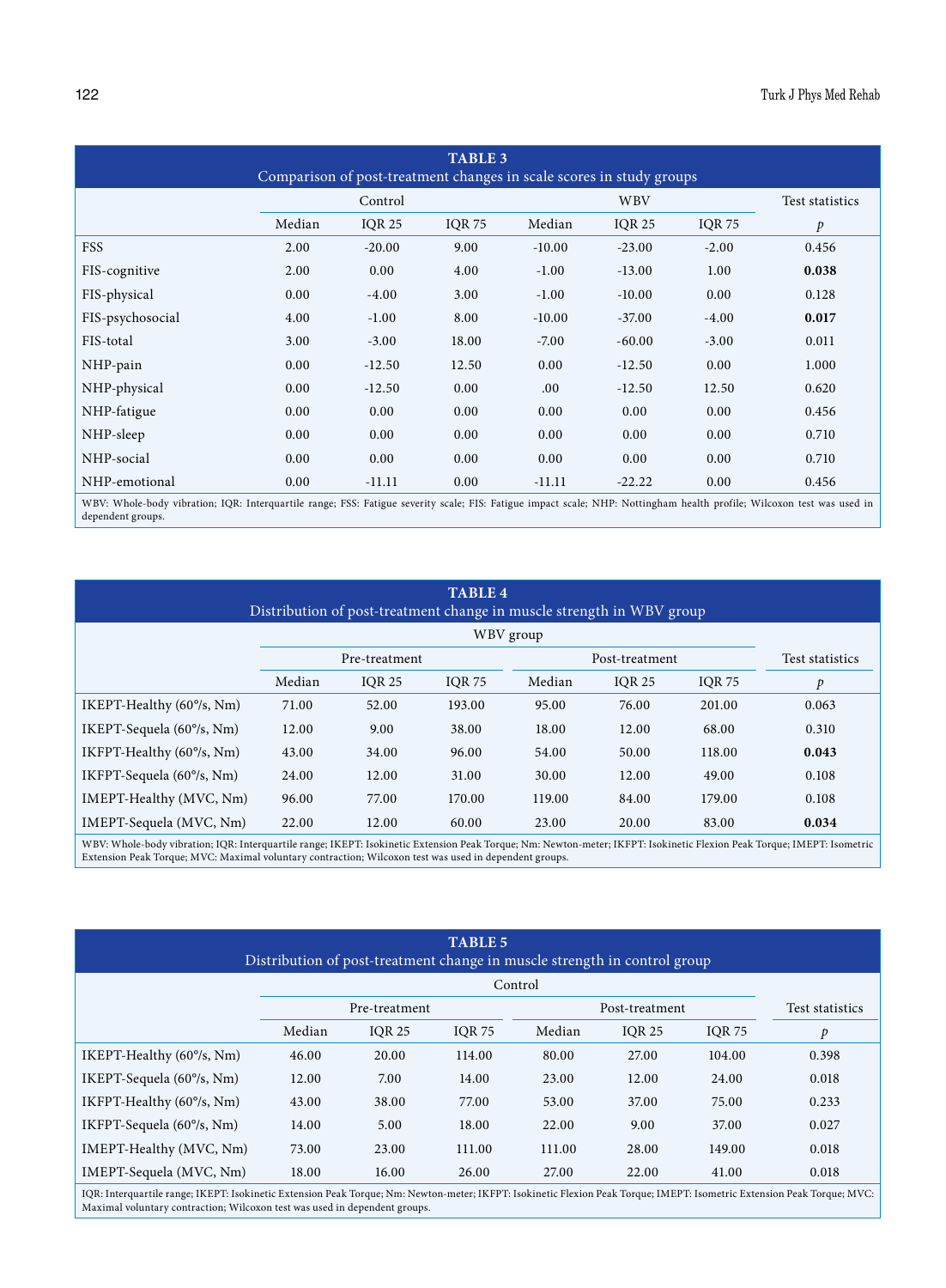| <b>TABLE 3</b><br>Comparison of post-treatment changes in scale scores in study groups |         |               |               |            |               |               |                 |  |  |
|----------------------------------------------------------------------------------------|---------|---------------|---------------|------------|---------------|---------------|-----------------|--|--|
|                                                                                        | Control |               |               | <b>WBV</b> |               |               | Test statistics |  |  |
|                                                                                        | Median  | <b>IOR 25</b> | <b>IQR 75</b> | Median     | <b>IQR 25</b> | <b>IQR 75</b> | $\mathcal{P}$   |  |  |
| <b>FSS</b>                                                                             | 2.00    | $-20.00$      | 9.00          | $-10.00$   | $-23.00$      | $-2.00$       | 0.456           |  |  |
| FIS-cognitive                                                                          | 2.00    | 0.00          | 4.00          | $-1.00$    | $-13.00$      | 1.00          | 0.038           |  |  |
| FIS-physical                                                                           | 0.00    | $-4.00$       | 3.00          | $-1.00$    | $-10.00$      | 0.00          | 0.128           |  |  |
| FIS-psychosocial                                                                       | 4.00    | $-1.00$       | 8.00          | $-10.00$   | $-37.00$      | $-4.00$       | 0.017           |  |  |
| FIS-total                                                                              | 3.00    | $-3.00$       | 18.00         | $-7.00$    | $-60.00$      | $-3.00$       | 0.011           |  |  |
| NHP-pain                                                                               | 0.00    | $-12.50$      | 12.50         | 0.00       | $-12.50$      | 0.00          | 1.000           |  |  |
| NHP-physical                                                                           | 0.00    | $-12.50$      | 0.00          | .00.       | $-12.50$      | 12.50         | 0.620           |  |  |
| NHP-fatigue                                                                            | 0.00    | 0.00          | 0.00          | 0.00       | 0.00          | 0.00          | 0.456           |  |  |
| NHP-sleep                                                                              | 0.00    | 0.00          | 0.00          | 0.00       | 0.00          | 0.00          | 0.710           |  |  |
| NHP-social                                                                             | 0.00    | 0.00          | 0.00          | 0.00       | 0.00          | 0.00          | 0.710           |  |  |
| NHP-emotional                                                                          | 0.00    | $-11.11$      | 0.00          | $-11.11$   | $-22.22$      | 0.00          | 0.456           |  |  |

WBV: Whole-body vibration; IQR: Interquartile range; FSS: Fatigue severity scale; FIS: Fatigue impact scale; NHP: Nottingham health profile; Wilcoxon test was used in dependent groups.

| <b>TABLE 4</b><br>Distribution of post-treatment change in muscle strength in WBV group |        |               |               |        |                |               |                 |  |
|-----------------------------------------------------------------------------------------|--------|---------------|---------------|--------|----------------|---------------|-----------------|--|
| WBV group                                                                               |        |               |               |        |                |               |                 |  |
|                                                                                         |        | Pre-treatment |               |        | Post-treatment |               | Test statistics |  |
|                                                                                         | Median | <b>IOR 25</b> | <b>IOR 75</b> | Median | <b>IOR 25</b>  | <b>IOR 75</b> | p               |  |
| IKEPT-Healthy (60%, Nm)                                                                 | 71.00  | 52.00         | 193.00        | 95.00  | 76.00          | 201.00        | 0.063           |  |
| IKEPT-Sequela (60%, Nm)                                                                 | 12.00  | 9.00          | 38.00         | 18.00  | 12.00          | 68.00         | 0.310           |  |
| IKFPT-Healthy (60°/s, Nm)                                                               | 43.00  | 34.00         | 96.00         | 54.00  | 50.00          | 118.00        | 0.043           |  |
| IKFPT-Sequela (60%, Nm)                                                                 | 24.00  | 12.00         | 31.00         | 30.00  | 12.00          | 49.00         | 0.108           |  |
| IMEPT-Healthy (MVC, Nm)                                                                 | 96.00  | 77.00         | 170.00        | 119.00 | 84.00          | 179.00        | 0.108           |  |
| IMEPT-Sequela (MVC, Nm)                                                                 | 22.00  | 12.00         | 60.00         | 23.00  | 20.00          | 83.00         | 0.034           |  |

WBV: Whole-body vibration; IQR: Interquartile range; IKEPT: Isokinetic Extension Peak Torque; Nm: Newton-meter; IKFPT: Isokinetic Flexion Peak Torque; IMEPT: Isometric<br>Extension Peak Torque; MVC: Maximal voluntary contract

| <b>TABLE 5</b><br>Distribution of post-treatment change in muscle strength in control group |        |               |               |        |                |               |                 |  |
|---------------------------------------------------------------------------------------------|--------|---------------|---------------|--------|----------------|---------------|-----------------|--|
| Control                                                                                     |        |               |               |        |                |               |                 |  |
|                                                                                             |        | Pre-treatment |               |        | Post-treatment |               | Test statistics |  |
|                                                                                             | Median | <b>IOR 25</b> | <b>IOR 75</b> | Median | <b>IOR 25</b>  | <b>IOR 75</b> | p               |  |
| IKEPT-Healthy (60°/s, Nm)                                                                   | 46.00  | 20.00         | 114.00        | 80.00  | 27.00          | 104.00        | 0.398           |  |
| IKEPT-Sequela (60%, Nm)                                                                     | 12.00  | 7.00          | 14.00         | 23.00  | 12.00          | 24.00         | 0.018           |  |
| IKFPT-Healthy (60%, Nm)                                                                     | 43.00  | 38.00         | 77.00         | 53.00  | 37.00          | 75.00         | 0.233           |  |
| IKFPT-Sequela (60%, Nm)                                                                     | 14.00  | 5.00          | 18.00         | 22.00  | 9.00           | 37.00         | 0.027           |  |
| IMEPT-Healthy (MVC, Nm)                                                                     | 73.00  | 23.00         | 111.00        | 111.00 | 28.00          | 149.00        | 0.018           |  |
| IMEPT-Sequela (MVC, Nm)                                                                     | 18.00  | 16.00         | 26.00         | 27.00  | 22.00          | 41.00         | 0.018           |  |

IQR: Interquartile range; IKEPT: Isokinetic Extension Peak Torque; Nm: Newton-meter; IKFPT: Isokinetic Flexion Peak Torque; IMEPT: Isometric Extension Peak Torque; MVC: Maximal voluntary contraction; Wilcoxon test was used in dependent groups.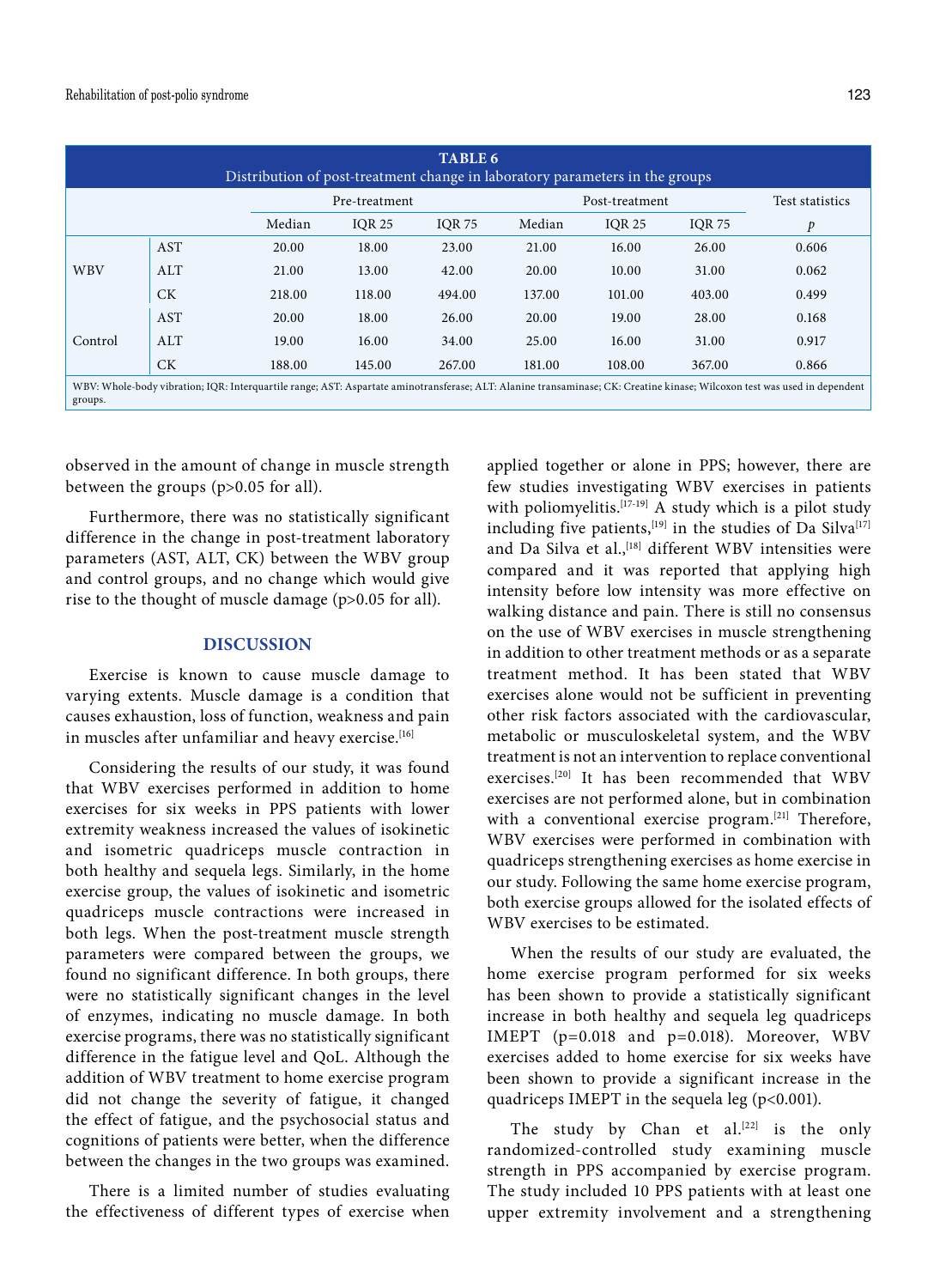| <b>TABLE 6</b><br>Distribution of post-treatment change in laboratory parameters in the groups                                                                                       |            |        |               |               |        |                |                 |       |  |
|--------------------------------------------------------------------------------------------------------------------------------------------------------------------------------------|------------|--------|---------------|---------------|--------|----------------|-----------------|-------|--|
|                                                                                                                                                                                      |            |        | Pre-treatment |               |        | Post-treatment | Test statistics |       |  |
|                                                                                                                                                                                      |            | Median | <b>IOR 25</b> | <b>IOR 75</b> | Median | <b>IOR 25</b>  | <b>IOR 75</b>   | p     |  |
|                                                                                                                                                                                      | <b>AST</b> | 20.00  | 18.00         | 23.00         | 21.00  | 16.00          | 26.00           | 0.606 |  |
| <b>WBV</b>                                                                                                                                                                           | ALT        | 21.00  | 13.00         | 42.00         | 20.00  | 10.00          | 31.00           | 0.062 |  |
|                                                                                                                                                                                      | <b>CK</b>  | 218.00 | 118.00        | 494.00        | 137.00 | 101.00         | 403.00          | 0.499 |  |
|                                                                                                                                                                                      | <b>AST</b> | 20.00  | 18.00         | 26.00         | 20.00  | 19.00          | 28.00           | 0.168 |  |
| Control                                                                                                                                                                              | ALT        | 19.00  | 16.00         | 34.00         | 25.00  | 16.00          | 31.00           | 0.917 |  |
|                                                                                                                                                                                      | <b>CK</b>  | 188.00 | 145.00        | 267.00        | 181.00 | 108.00         | 367.00          | 0.866 |  |
| WBV: Whole-body vibration; IQR: Interquartile range; AST: Aspartate aminotransferase; ALT: Alanine transaminase; CK: Creatine kinase; Wilcoxon test was used in dependent<br>groups. |            |        |               |               |        |                |                 |       |  |

observed in the amount of change in muscle strength between the groups (p>0.05 for all).

Furthermore, there was no statistically significant difference in the change in post-treatment laboratory parameters (AST, ALT, CK) between the WBV group and control groups, and no change which would give rise to the thought of muscle damage (p>0.05 for all).

## **DISCUSSION**

Exercise is known to cause muscle damage to varying extents. Muscle damage is a condition that causes exhaustion, loss of function, weakness and pain in muscles after unfamiliar and heavy exercise.<sup>[16]</sup>

Considering the results of our study, it was found that WBV exercises performed in addition to home exercises for six weeks in PPS patients with lower extremity weakness increased the values of isokinetic and isometric quadriceps muscle contraction in both healthy and sequela legs. Similarly, in the home exercise group, the values of isokinetic and isometric quadriceps muscle contractions were increased in both legs. When the post-treatment muscle strength parameters were compared between the groups, we found no significant difference. In both groups, there were no statistically significant changes in the level of enzymes, indicating no muscle damage. In both exercise programs, there was no statistically significant difference in the fatigue level and QoL. Although the addition of WBV treatment to home exercise program did not change the severity of fatigue, it changed the effect of fatigue, and the psychosocial status and cognitions of patients were better, when the difference between the changes in the two groups was examined.

There is a limited number of studies evaluating the effectiveness of different types of exercise when applied together or alone in PPS; however, there are few studies investigating WBV exercises in patients with poliomyelitis.<sup>[17-19]</sup> A study which is a pilot study including five patients,<sup>[19]</sup> in the studies of Da Silva<sup>[17]</sup> and Da Silva et al.,<sup>[18]</sup> different WBV intensities were compared and it was reported that applying high intensity before low intensity was more effective on walking distance and pain. There is still no consensus on the use of WBV exercises in muscle strengthening in addition to other treatment methods or as a separate treatment method. It has been stated that WBV exercises alone would not be sufficient in preventing other risk factors associated with the cardiovascular, metabolic or musculoskeletal system, and the WBV treatment is not an intervention to replace conventional exercises.[20] It has been recommended that WBV exercises are not performed alone, but in combination with a conventional exercise program.<sup>[21]</sup> Therefore, WBV exercises were performed in combination with quadriceps strengthening exercises as home exercise in our study. Following the same home exercise program, both exercise groups allowed for the isolated effects of WBV exercises to be estimated.

When the results of our study are evaluated, the home exercise program performed for six weeks has been shown to provide a statistically significant increase in both healthy and sequela leg quadriceps IMEPT (p=0.018 and p=0.018). Moreover, WBV exercises added to home exercise for six weeks have been shown to provide a significant increase in the quadriceps IMEPT in the sequela leg (p<0.001).

The study by Chan et al.<sup>[22]</sup> is the only randomized-controlled study examining muscle strength in PPS accompanied by exercise program. The study included 10 PPS patients with at least one upper extremity involvement and a strengthening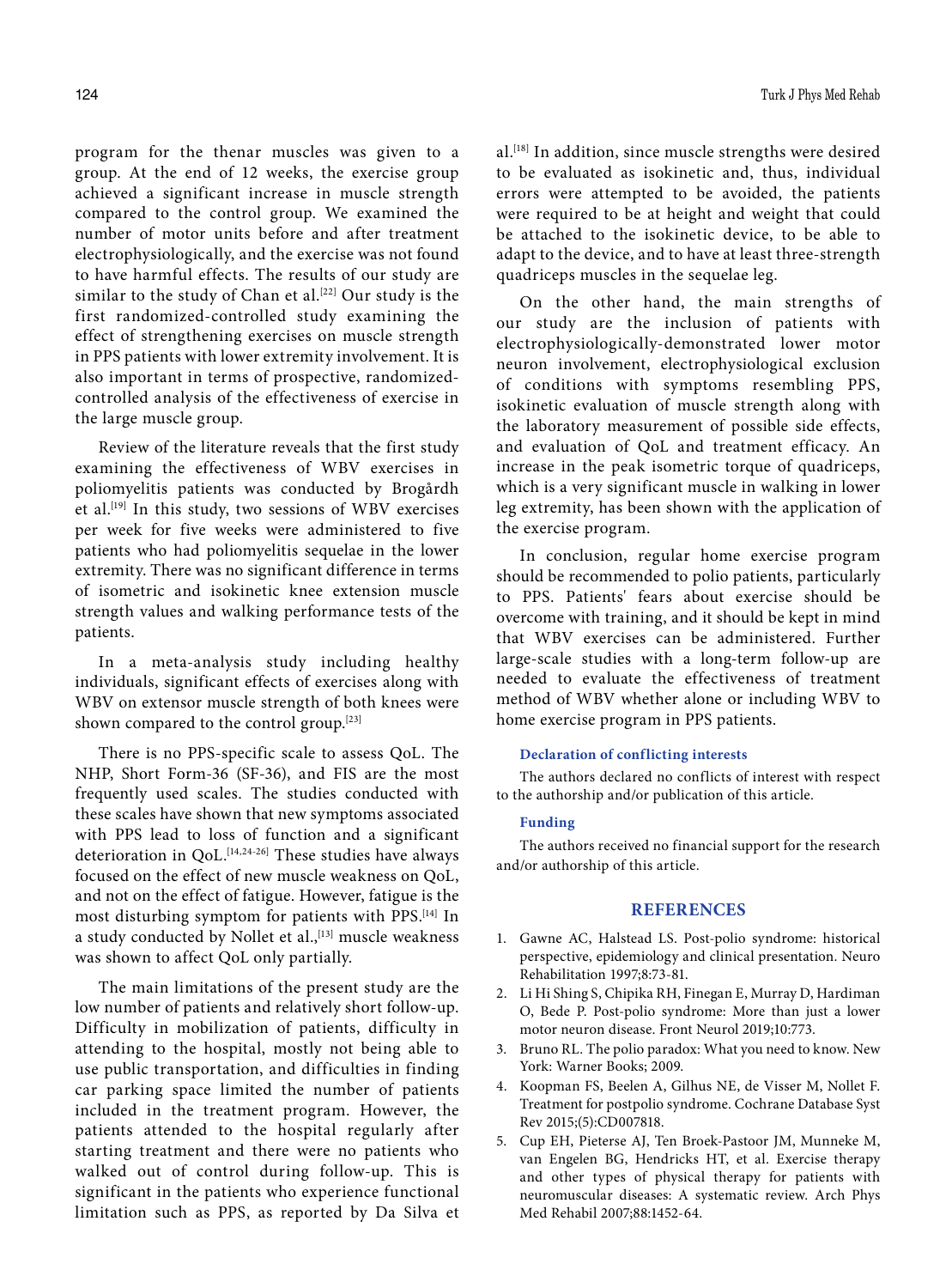program for the thenar muscles was given to a group. At the end of 12 weeks, the exercise group achieved a significant increase in muscle strength compared to the control group. We examined the number of motor units before and after treatment electrophysiologically, and the exercise was not found to have harmful effects. The results of our study are similar to the study of Chan et al.<sup>[22]</sup> Our study is the first randomized-controlled study examining the effect of strengthening exercises on muscle strength in PPS patients with lower extremity involvement. It is also important in terms of prospective, randomizedcontrolled analysis of the effectiveness of exercise in the large muscle group.

Review of the literature reveals that the first study examining the effectiveness of WBV exercises in poliomyelitis patients was conducted by Brogårdh et al.[19] In this study, two sessions of WBV exercises per week for five weeks were administered to five patients who had poliomyelitis sequelae in the lower extremity. There was no significant difference in terms of isometric and isokinetic knee extension muscle strength values and walking performance tests of the patients.

In a meta-analysis study including healthy individuals, significant effects of exercises along with WBV on extensor muscle strength of both knees were shown compared to the control group.[23]

There is no PPS-specific scale to assess QoL. The NHP, Short Form-36 (SF-36), and FIS are the most frequently used scales. The studies conducted with these scales have shown that new symptoms associated with PPS lead to loss of function and a significant deterioration in QoL.<sup>[14,24-26]</sup> These studies have always focused on the effect of new muscle weakness on QoL, and not on the effect of fatigue. However, fatigue is the most disturbing symptom for patients with PPS.[14] In a study conducted by Nollet et al.,<sup>[13]</sup> muscle weakness was shown to affect QoL only partially.

The main limitations of the present study are the low number of patients and relatively short follow-up. Difficulty in mobilization of patients, difficulty in attending to the hospital, mostly not being able to use public transportation, and difficulties in finding car parking space limited the number of patients included in the treatment program. However, the patients attended to the hospital regularly after starting treatment and there were no patients who walked out of control during follow-up. This is significant in the patients who experience functional limitation such as PPS, as reported by Da Silva et al.[18] In addition, since muscle strengths were desired to be evaluated as isokinetic and, thus, individual errors were attempted to be avoided, the patients were required to be at height and weight that could be attached to the isokinetic device, to be able to adapt to the device, and to have at least three-strength quadriceps muscles in the sequelae leg.

On the other hand, the main strengths of our study are the inclusion of patients with electrophysiologically-demonstrated lower motor neuron involvement, electrophysiological exclusion of conditions with symptoms resembling PPS, isokinetic evaluation of muscle strength along with the laboratory measurement of possible side effects, and evaluation of QoL and treatment efficacy. An increase in the peak isometric torque of quadriceps, which is a very significant muscle in walking in lower leg extremity, has been shown with the application of the exercise program.

In conclusion, regular home exercise program should be recommended to polio patients, particularly to PPS. Patients' fears about exercise should be overcome with training, and it should be kept in mind that WBV exercises can be administered. Further large-scale studies with a long-term follow-up are needed to evaluate the effectiveness of treatment method of WBV whether alone or including WBV to home exercise program in PPS patients.

#### **Declaration of conflicting interests**

The authors declared no conflicts of interest with respect to the authorship and/or publication of this article.

#### **Funding**

The authors received no financial support for the research and/or authorship of this article.

## **REFERENCES**

- 1. Gawne AC, Halstead LS. Post-polio syndrome: historical perspective, epidemiology and clinical presentation. Neuro Rehabilitation 1997;8:73-81.
- 2. Li Hi Shing S, Chipika RH, Finegan E, Murray D, Hardiman O, Bede P. Post-polio syndrome: More than just a lower motor neuron disease. Front Neurol 2019;10:773.
- 3. Bruno RL. The polio paradox: What you need to know. New York: Warner Books; 2009.
- 4. Koopman FS, Beelen A, Gilhus NE, de Visser M, Nollet F. Treatment for postpolio syndrome. Cochrane Database Syst Rev 2015;(5):CD007818.
- 5. Cup EH, Pieterse AJ, Ten Broek-Pastoor JM, Munneke M, van Engelen BG, Hendricks HT, et al. Exercise therapy and other types of physical therapy for patients with neuromuscular diseases: A systematic review. Arch Phys Med Rehabil 2007;88:1452-64.